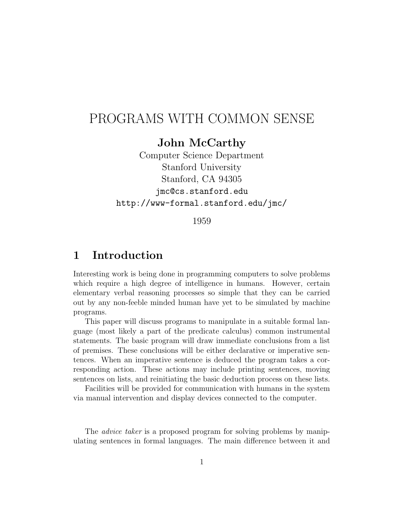# PROGRAMS WITH COMMON SENSE

### John McCarthy

Computer Science Department Stanford University Stanford, CA 94305 jmc@cs.stanford.edu http://www-formal.stanford.edu/jmc/

1959

### 1 Introduction

Interesting work is being done in programming computers to solve problems which require a high degree of intelligence in humans. However, certain elementary verbal reasoning processes so simple that they can be carried out by any non-feeble minded human have yet to be simulated by machine programs.

This paper will discuss programs to manipulate in a suitable formal language (most likely a part of the predicate calculus) common instrumental statements. The basic program will draw immediate conclusions from a list of premises. These conclusions will be either declarative or imperative sentences. When an imperative sentence is deduced the program takes a corresponding action. These actions may include printing sentences, moving sentences on lists, and reinitiating the basic deduction process on these lists.

Facilities will be provided for communication with humans in the system via manual intervention and display devices connected to the computer.

The *advice taker* is a proposed program for solving problems by manipulating sentences in formal languages. The main difference between it and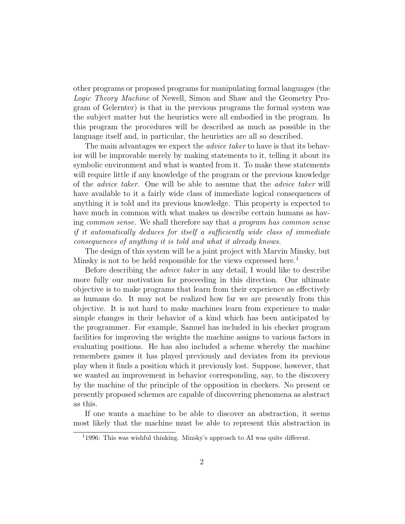other programs or proposed programs for manipulating formal languages (the Logic Theory Machine of Newell, Simon and Shaw and the Geometry Program of Gelernter) is that in the previous programs the formal system was the subject matter but the heuristics were all embodied in the program. In this program the procedures will be described as much as possible in the language itself and, in particular, the heuristics are all so described.

The main advantages we expect the *advice taker* to have is that its behavior will be improvable merely by making statements to it, telling it about its symbolic environment and what is wanted from it. To make these statements will require little if any knowledge of the program or the previous knowledge of the advice taker. One will be able to assume that the advice taker will have available to it a fairly wide class of immediate logical consequences of anything it is told and its previous knowledge. This property is expected to have much in common with what makes us describe certain humans as having common sense. We shall therefore say that a program has common sense if it automatically deduces for itself a sufficiently wide class of immediate consequences of anything it is told and what it already knows.

The design of this system will be a joint project with Marvin Minsky, but Minsky is not to be held responsible for the views expressed here.<sup>1</sup>

Before describing the advice taker in any detail, I would like to describe more fully our motivation for proceeding in this direction. Our ultimate objective is to make programs that learn from their experience as effectively as humans do. It may not be realized how far we are presently from this objective. It is not hard to make machines learn from experience to make simple changes in their behavior of a kind which has been anticipated by the programmer. For example, Samuel has included in his checker program facilities for improving the weights the machine assigns to various factors in evaluating positions. He has also included a scheme whereby the machine remembers games it has played previously and deviates from its previous play when it finds a position which it previously lost. Suppose, however, that we wanted an improvement in behavior corresponding, say, to the discovery by the machine of the principle of the opposition in checkers. No present or presently proposed schemes are capable of discovering phenomena as abstract as this.

If one wants a machine to be able to discover an abstraction, it seems most likely that the machine must be able to represent this abstraction in

<sup>1</sup>1996: This was wishful thinking. Minsky's approach to AI was quite different.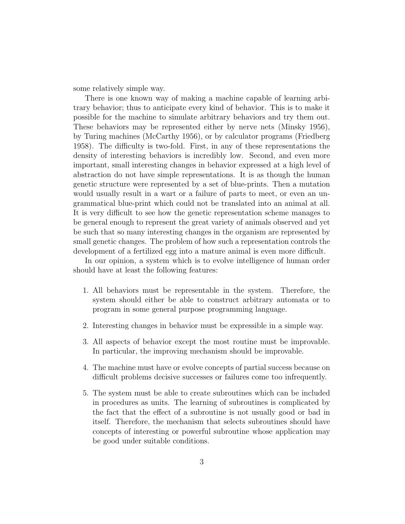some relatively simple way.

There is one known way of making a machine capable of learning arbitrary behavior; thus to anticipate every kind of behavior. This is to make it possible for the machine to simulate arbitrary behaviors and try them out. These behaviors may be represented either by nerve nets (Minsky 1956), by Turing machines (McCarthy 1956), or by calculator programs (Friedberg 1958). The difficulty is two-fold. First, in any of these representations the density of interesting behaviors is incredibly low. Second, and even more important, small interesting changes in behavior expressed at a high level of abstraction do not have simple representations. It is as though the human genetic structure were represented by a set of blue-prints. Then a mutation would usually result in a wart or a failure of parts to meet, or even an ungrammatical blue-print which could not be translated into an animal at all. It is very difficult to see how the genetic representation scheme manages to be general enough to represent the great variety of animals observed and yet be such that so many interesting changes in the organism are represented by small genetic changes. The problem of how such a representation controls the development of a fertilized egg into a mature animal is even more difficult.

In our opinion, a system which is to evolve intelligence of human order should have at least the following features:

- 1. All behaviors must be representable in the system. Therefore, the system should either be able to construct arbitrary automata or to program in some general purpose programming language.
- 2. Interesting changes in behavior must be expressible in a simple way.
- 3. All aspects of behavior except the most routine must be improvable. In particular, the improving mechanism should be improvable.
- 4. The machine must have or evolve concepts of partial success because on difficult problems decisive successes or failures come too infrequently.
- 5. The system must be able to create subroutines which can be included in procedures as units. The learning of subroutines is complicated by the fact that the effect of a subroutine is not usually good or bad in itself. Therefore, the mechanism that selects subroutines should have concepts of interesting or powerful subroutine whose application may be good under suitable conditions.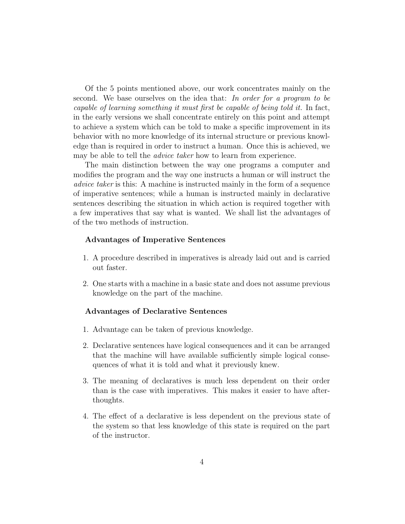Of the 5 points mentioned above, our work concentrates mainly on the second. We base ourselves on the idea that: In order for a program to be capable of learning something it must first be capable of being told it. In fact, in the early versions we shall concentrate entirely on this point and attempt to achieve a system which can be told to make a specific improvement in its behavior with no more knowledge of its internal structure or previous knowledge than is required in order to instruct a human. Once this is achieved, we may be able to tell the *advice taker* how to learn from experience.

The main distinction between the way one programs a computer and modifies the program and the way one instructs a human or will instruct the advice taker is this: A machine is instructed mainly in the form of a sequence of imperative sentences; while a human is instructed mainly in declarative sentences describing the situation in which action is required together with a few imperatives that say what is wanted. We shall list the advantages of of the two methods of instruction.

#### Advantages of Imperative Sentences

- 1. A procedure described in imperatives is already laid out and is carried out faster.
- 2. One starts with a machine in a basic state and does not assume previous knowledge on the part of the machine.

#### Advantages of Declarative Sentences

- 1. Advantage can be taken of previous knowledge.
- 2. Declarative sentences have logical consequences and it can be arranged that the machine will have available sufficiently simple logical consequences of what it is told and what it previously knew.
- 3. The meaning of declaratives is much less dependent on their order than is the case with imperatives. This makes it easier to have afterthoughts.
- 4. The effect of a declarative is less dependent on the previous state of the system so that less knowledge of this state is required on the part of the instructor.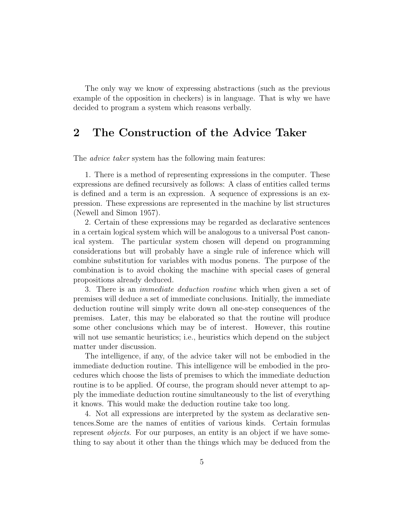The only way we know of expressing abstractions (such as the previous example of the opposition in checkers) is in language. That is why we have decided to program a system which reasons verbally.

### 2 The Construction of the Advice Taker

The *advice taker* system has the following main features:

1. There is a method of representing expressions in the computer. These expressions are defined recursively as follows: A class of entities called terms is defined and a term is an expression. A sequence of expressions is an expression. These expressions are represented in the machine by list structures (Newell and Simon 1957).

2. Certain of these expressions may be regarded as declarative sentences in a certain logical system which will be analogous to a universal Post canonical system. The particular system chosen will depend on programming considerations but will probably have a single rule of inference which will combine substitution for variables with modus ponens. The purpose of the combination is to avoid choking the machine with special cases of general propositions already deduced.

3. There is an *immediate deduction routine* which when given a set of premises will deduce a set of immediate conclusions. Initially, the immediate deduction routine will simply write down all one-step consequences of the premises. Later, this may be elaborated so that the routine will produce some other conclusions which may be of interest. However, this routine will not use semantic heuristics; i.e., heuristics which depend on the subject matter under discussion.

The intelligence, if any, of the advice taker will not be embodied in the immediate deduction routine. This intelligence will be embodied in the procedures which choose the lists of premises to which the immediate deduction routine is to be applied. Of course, the program should never attempt to apply the immediate deduction routine simultaneously to the list of everything it knows. This would make the deduction routine take too long.

4. Not all expressions are interpreted by the system as declarative sentences.Some are the names of entities of various kinds. Certain formulas represent *objects*. For our purposes, an entity is an object if we have something to say about it other than the things which may be deduced from the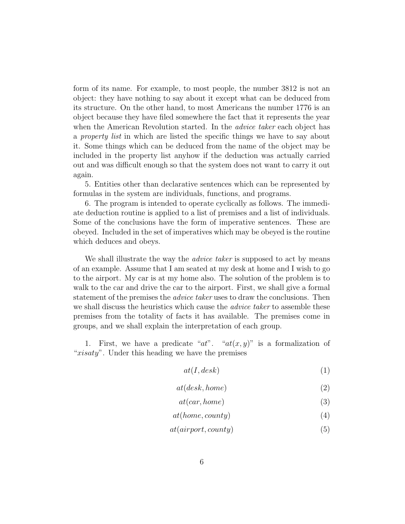form of its name. For example, to most people, the number 3812 is not an object: they have nothing to say about it except what can be deduced from its structure. On the other hand, to most Americans the number 1776 is an object because they have filed somewhere the fact that it represents the year when the American Revolution started. In the *advice taker* each object has a property list in which are listed the specific things we have to say about it. Some things which can be deduced from the name of the object may be included in the property list anyhow if the deduction was actually carried out and was difficult enough so that the system does not want to carry it out again.

5. Entities other than declarative sentences which can be represented by formulas in the system are individuals, functions, and programs.

6. The program is intended to operate cyclically as follows. The immediate deduction routine is applied to a list of premises and a list of individuals. Some of the conclusions have the form of imperative sentences. These are obeyed. Included in the set of imperatives which may be obeyed is the routine which deduces and obeys.

We shall illustrate the way the *advice taker* is supposed to act by means of an example. Assume that I am seated at my desk at home and I wish to go to the airport. My car is at my home also. The solution of the problem is to walk to the car and drive the car to the airport. First, we shall give a formal statement of the premises the *advice taker* uses to draw the conclusions. Then we shall discuss the heuristics which cause the *advice taker* to assemble these premises from the totality of facts it has available. The premises come in groups, and we shall explain the interpretation of each group.

1. First, we have a predicate " $at$ ". " $at(x, y)$ " is a formalization of " $xisaty$ ". Under this heading we have the premises

$$
at(I, desk) \tag{1}
$$

$$
at (desk, home) \tag{2}
$$

$$
at(car, home) \tag{3}
$$

$$
at(home, county) \tag{4}
$$

$$
at( airport, county) \tag{5}
$$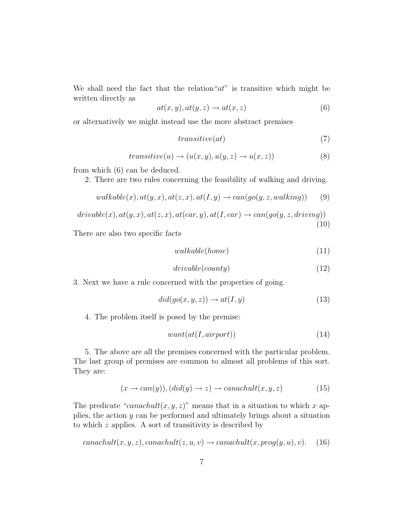We shall need the fact that the relation " $at$ " is transitive which might be written directly as

$$
at(x, y), at(y, z) \rightarrow at(x, z)
$$
 (6)

or alternatively we might instead use the more abstract premises

$$
transitive(at) \tag{7}
$$

$$
transitive(u) \rightarrow (u(x, y), u(y, z) \rightarrow u(x, z))
$$
\n(8)

from which (6) can be deduced.

2. There are two rules concerning the feasibility of walking and driving.

$$
walkable(x), at(y, x), at(z, x), at(I, y) \rightarrow can(go(y, z, walking))
$$
 (9)

$$
drivable(x), at(y, x), at(z, x), at(car, y), at(I, car) \rightarrow can (go(y, z, driving))
$$
\n(10)

There are also two specific facts

$$
walkable(home) \tag{11}
$$

$$
drivable (county) \tag{12}
$$

3. Next we have a rule concerned with the properties of going.

$$
did(go(x, y, z)) \to at(I, y)
$$
\n(13)

4. The problem itself is posed by the premise:

$$
want(at(I, airport)) \tag{14}
$$

5. The above are all the premises concerned with the particular problem. The last group of premises are common to almost all problems of this sort. They are:

$$
(x \to can(y)), (did(y) \to z) \to canachult(x, y, z) \tag{15}
$$

The predicate "*canachult* $(x, y, z)$ " means that in a situation to which x applies, the action y can be performed and ultimately brings about a situation to which z applies. A sort of transitivity is described by

$$
canachult(x, y, z), canachult(z, u, v) \rightarrow canachult(x, prog(y, u), v).
$$
 (16)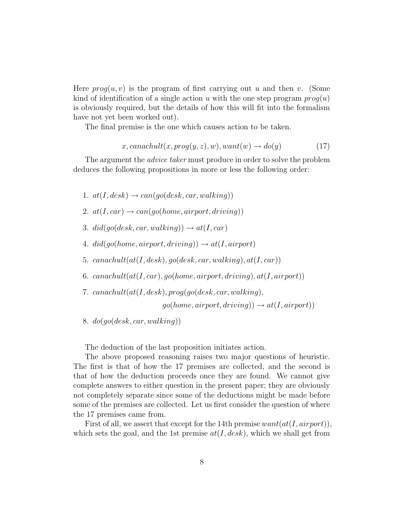Here  $\text{prog}(u, v)$  is the program of first carrying out u and then v. (Some kind of identification of a single action u with the one step program  $prog(u)$ is obviously required, but the details of how this will fit into the formalism have not yet been worked out).

The final premise is the one which causes action to be taken.

$$
x, can a chult(x, prog(y, z), w), want(w) \to do(y)
$$
\n
$$
(17)
$$

The argument the *advice taker* must produce in order to solve the problem deduces the following propositions in more or less the following order:

- 1.  $at(I, desk) \rightarrow can(go(desk, car, walking))$
- 2.  $at(I, car) \rightarrow can(qo(home, airport, driving))$
- 3.  $did(go(desk, car, walking)) \rightarrow at(I, car)$
- 4.  $did(go(home, airport, driving)) \rightarrow at(I, airport)$
- 5. canachult $(at(I, desk), go(desk, car, walking), at(I, car))$
- 6. canachult $(at(I, car), go(home, airport, driving), at(I, airport))$
- 7. canachult $(at(I, desk), prog(go(desk, car, walking)),$

 $g \circ (home, airport, driving)) \rightarrow \mathfrak{at}(I, airport))$ 

8.  $do(go(desk, car, walking))$ 

The deduction of the last proposition initiates action.

The above proposed reasoning raises two major questions of heuristic. The first is that of how the 17 premises are collected, and the second is that of how the deduction proceeds once they are found. We cannot give complete answers to either question in the present paper; they are obviously not completely separate since some of the deductions might be made before some of the premises are collected. Let us first consider the question of where the 17 premises came from.

First of all, we assert that except for the 14th premise  $want(at(I, airport)),$ which sets the goal, and the 1st premise  $at(I, desk)$ , which we shall get from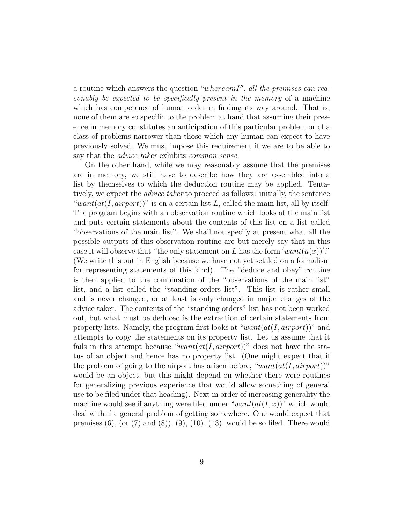a routine which answers the question "whereamI", all the premises can reasonably be expected to be specifically present in the memory of a machine which has competence of human order in finding its way around. That is, none of them are so specific to the problem at hand that assuming their presence in memory constitutes an anticipation of this particular problem or of a class of problems narrower than those which any human can expect to have previously solved. We must impose this requirement if we are to be able to say that the *advice taker* exhibits *common sense*.

On the other hand, while we may reasonably assume that the premises are in memory, we still have to describe how they are assembled into a list by themselves to which the deduction routine may be applied. Tentatively, we expect the advice taker to proceed as follows: initially, the sentence "want(at(I, airport))" is on a certain list L, called the main list, all by itself. The program begins with an observation routine which looks at the main list and puts certain statements about the contents of this list on a list called "observations of the main list". We shall not specify at present what all the possible outputs of this observation routine are but merely say that in this case it will observe that "the only statement on L has the form 'want $(u(x))'$ ." (We write this out in English because we have not yet settled on a formalism for representing statements of this kind). The "deduce and obey" routine is then applied to the combination of the "observations of the main list" list, and a list called the "standing orders list". This list is rather small and is never changed, or at least is only changed in major changes of the advice taker. The contents of the "standing orders" list has not been worked out, but what must be deduced is the extraction of certain statements from property lists. Namely, the program first looks at "want $(at(I, airport))^$ " and attempts to copy the statements on its property list. Let us assume that it fails in this attempt because "want(at(I, airport))" does not have the status of an object and hence has no property list. (One might expect that if the problem of going to the airport has arisen before, "want $(at(I, airport))^$ " would be an object, but this might depend on whether there were routines for generalizing previous experience that would allow something of general use to be filed under that heading). Next in order of increasing generality the machine would see if anything were filed under "want $(at(I, x))$ " which would deal with the general problem of getting somewhere. One would expect that premises  $(6)$ ,  $(or (7) and (8))$ ,  $(9)$ ,  $(10)$ ,  $(13)$ , would be so filed. There would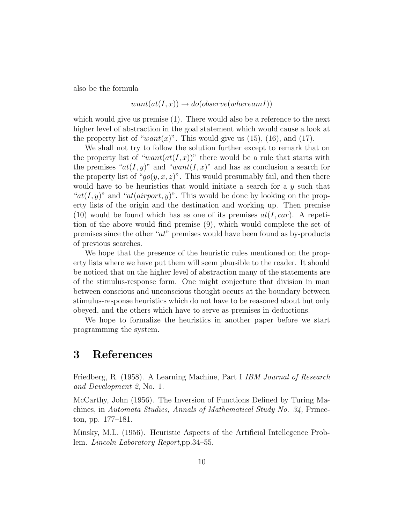also be the formula

$$
want(at(I, x)) \rightarrow do(observe(whereamI))
$$

which would give us premise  $(1)$ . There would also be a reference to the next higher level of abstraction in the goal statement which would cause a look at the property list of "want $(x)$ ". This would give us (15), (16), and (17).

We shall not try to follow the solution further except to remark that on the property list of "want $(at(I, x))$ " there would be a rule that starts with the premises " $at(I, y)$ " and "want $(I, x)$ " and has as conclusion a search for the property list of "go(y, x, z)". This would presumably fail, and then there would have to be heuristics that would initiate a search for a  $y$  such that " $at(I, y)$ " and " $at( airport, y)$ ". This would be done by looking on the property lists of the origin and the destination and working up. Then premise (10) would be found which has as one of its premises  $at(I, car)$ . A repetition of the above would find premise (9), which would complete the set of premises since the other "at" premises would have been found as by-products of previous searches.

We hope that the presence of the heuristic rules mentioned on the property lists where we have put them will seem plausible to the reader. It should be noticed that on the higher level of abstraction many of the statements are of the stimulus-response form. One might conjecture that division in man between conscious and unconscious thought occurs at the boundary between stimulus-response heuristics which do not have to be reasoned about but only obeyed, and the others which have to serve as premises in deductions.

We hope to formalize the heuristics in another paper before we start programming the system.

### 3 References

Friedberg, R. (1958). A Learning Machine, Part I IBM Journal of Research and Development 2, No. 1.

McCarthy, John (1956). The Inversion of Functions Defined by Turing Machines, in Automata Studies, Annals of Mathematical Study No. 34, Princeton, pp. 177–181.

Minsky, M.L. (1956). Heuristic Aspects of the Artificial Intellegence Problem. Lincoln Laboratory Report,pp.34–55.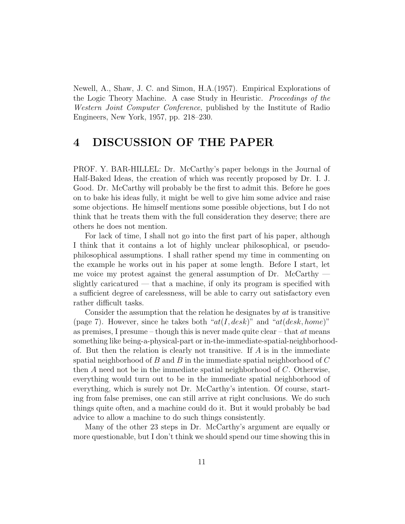Newell, A., Shaw, J. C. and Simon, H.A.(1957). Empirical Explorations of the Logic Theory Machine. A case Study in Heuristic. Proceedings of the Western Joint Computer Conference, published by the Institute of Radio Engineers, New York, 1957, pp. 218–230.

## 4 DISCUSSION OF THE PAPER

PROF. Y. BAR-HILLEL: Dr. McCarthy's paper belongs in the Journal of Half-Baked Ideas, the creation of which was recently proposed by Dr. I. J. Good. Dr. McCarthy will probably be the first to admit this. Before he goes on to bake his ideas fully, it might be well to give him some advice and raise some objections. He himself mentions some possible objections, but I do not think that he treats them with the full consideration they deserve; there are others he does not mention.

For lack of time, I shall not go into the first part of his paper, although I think that it contains a lot of highly unclear philosophical, or pseudophilosophical assumptions. I shall rather spend my time in commenting on the example he works out in his paper at some length. Before I start, let me voice my protest against the general assumption of Dr. McCarthy slightly caricatured — that a machine, if only its program is specified with a sufficient degree of carelessness, will be able to carry out satisfactory even rather difficult tasks.

Consider the assumption that the relation he designates by at is transitive (page 7). However, since he takes both " $at(I, desk)$ " and " $at(desk, home)$ " as premises, I presume – though this is never made quite clear – that  $at$  means something like being-a-physical-part or in-the-immediate-spatial-neighborhoodof. But then the relation is clearly not transitive. If  $A$  is in the immediate spatial neighborhood of B and B in the immediate spatial neighborhood of  $C$ then A need not be in the immediate spatial neighborhood of C. Otherwise, everything would turn out to be in the immediate spatial neighborhood of everything, which is surely not Dr. McCarthy's intention. Of course, starting from false premises, one can still arrive at right conclusions. We do such things quite often, and a machine could do it. But it would probably be bad advice to allow a machine to do such things consistently.

Many of the other 23 steps in Dr. McCarthy's argument are equally or more questionable, but I don't think we should spend our time showing this in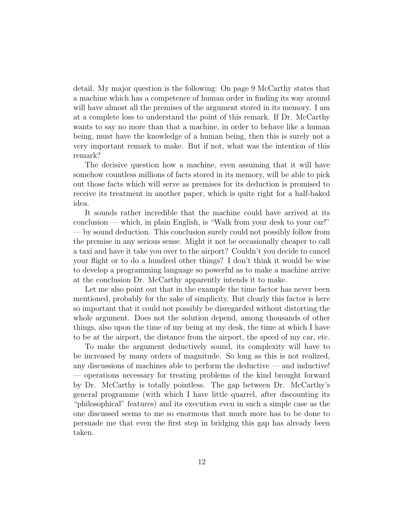detail. My major question is the following: On page 9 McCarthy states that a machine which has a competence of human order in finding its way around will have almost all the premises of the argument stored in its memory. I am at a complete loss to understand the point of this remark. If Dr. McCarthy wants to say no more than that a machine, in order to behave like a human being, must have the knowledge of a human being, then this is surely not a very important remark to make. But if not, what was the intention of this remark?

The decisive question how a machine, even assuming that it will have somehow countless millions of facts stored in its memory, will be able to pick out those facts which will serve as premises for its deduction is promised to receive its treatment in another paper, which is quite right for a half-baked idea.

It sounds rather incredible that the machine could have arrived at its conclusion — which, in plain English, is "Walk from your desk to your car!" — by sound deduction. This conclusion surely could not possibly follow from the premise in any serious sense. Might it not be occasionally cheaper to call a taxi and have it take you over to the airport? Couldn't you decide to cancel your flight or to do a hundred other things? I don't think it would be wise to develop a programming language so powerful as to make a machine arrive at the conclusion Dr. McCarthy apparently intends it to make.

Let me also point out that in the example the time factor has never been mentioned, probably for the sake of simplicity. But clearly this factor is here so important that it could not possibly be disregarded without distorting the whole argument. Does not the solution depend, among thousands of other things, also upon the time of my being at my desk, the time at which I have to be at the airport, the distance from the airport, the speed of my car, etc.

To make the argument deductively sound, its complexity will have to be increased by many orders of magnitude. So long as this is not realized, any discussions of machines able to perform the deductive  $-$  and inductive! — operations necessary for treating problems of the kind brought forward by Dr. McCarthy is totally pointless. The gap between Dr. McCarthy's general programme (with which I have little quarrel, after discounting its "philosophical" features) and its execution even in such a simple case as the one discussed seems to me so enormous that much more has to be done to persuade me that even the first step in bridging this gap has already been taken.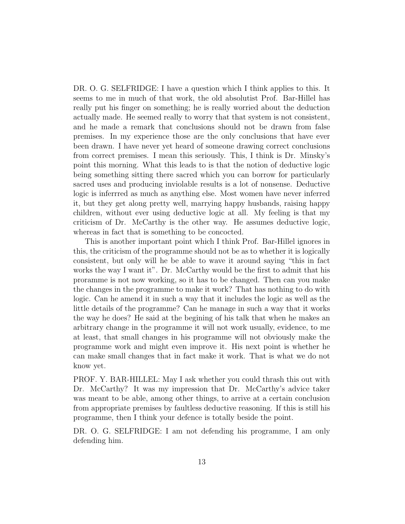DR. O. G. SELFRIDGE: I have a question which I think applies to this. It seems to me in much of that work, the old absolutist Prof. Bar-Hillel has really put his finger on something; he is really worried about the deduction actually made. He seemed really to worry that that system is not consistent, and he made a remark that conclusions should not be drawn from false premises. In my experience those are the only conclusions that have ever been drawn. I have never yet heard of someone drawing correct conclusions from correct premises. I mean this seriously. This, I think is Dr. Minsky's point this morning. What this leads to is that the notion of deductive logic being something sitting there sacred which you can borrow for particularly sacred uses and producing inviolable results is a lot of nonsense. Deductive logic is inferrred as much as anything else. Most women have never inferred it, but they get along pretty well, marrying happy husbands, raising happy children, without ever using deductive logic at all. My feeling is that my criticism of Dr. McCarthy is the other way. He assumes deductive logic, whereas in fact that is something to be concocted.

This is another important point which I think Prof. Bar-Hillel ignores in this, the criticism of the programme should not be as to whether it is logically consistent, but only will he be able to wave it around saying "this in fact works the way I want it". Dr. McCarthy would be the first to admit that his proramme is not now working, so it has to be changed. Then can you make the changes in the programme to make it work? That has nothing to do with logic. Can he amend it in such a way that it includes the logic as well as the little details of the programme? Can he manage in such a way that it works the way he does? He said at the begining of his talk that when he makes an arbitrary change in the programme it will not work usually, evidence, to me at least, that small changes in his programme will not obviously make the programme work and might even improve it. His next point is whether he can make small changes that in fact make it work. That is what we do not know yet.

PROF. Y. BAR-HILLEL: May I ask whether you could thrash this out with Dr. McCarthy? It was my impression that Dr. McCarthy's advice taker was meant to be able, among other things, to arrive at a certain conclusion from appropriate premises by faultless deductive reasoning. If this is still his programme, then I think your defence is totally beside the point.

DR. O. G. SELFRIDGE: I am not defending his programme, I am only defending him.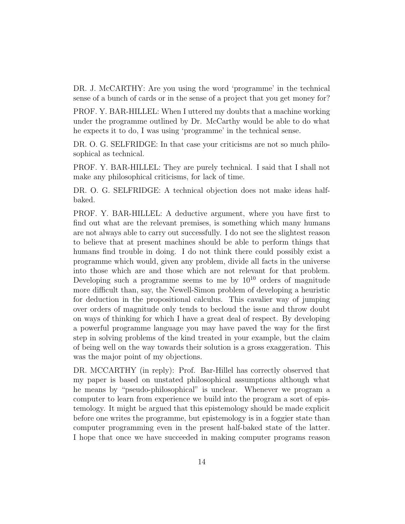DR. J. McCARTHY: Are you using the word 'programme' in the technical sense of a bunch of cards or in the sense of a project that you get money for?

PROF. Y. BAR-HILLEL: When I uttered my doubts that a machine working under the programme outlined by Dr. McCarthy would be able to do what he expects it to do, I was using 'programme' in the technical sense.

DR. O. G. SELFRIDGE: In that case your criticisms are not so much philosophical as technical.

PROF. Y. BAR-HILLEL: They are purely technical. I said that I shall not make any philosophical criticisms, for lack of time.

DR. O. G. SELFRIDGE: A technical objection does not make ideas halfbaked.

PROF. Y. BAR-HILLEL: A deductive argument, where you have first to find out what are the relevant premises, is something which many humans are not always able to carry out successfully. I do not see the slightest reason to believe that at present machines should be able to perform things that humans find trouble in doing. I do not think there could possibly exist a programme which would, given any problem, divide all facts in the universe into those which are and those which are not relevant for that problem. Developing such a programme seems to me by  $10^{10}$  orders of magnitude more difficult than, say, the Newell-Simon problem of developing a heuristic for deduction in the propositional calculus. This cavalier way of jumping over orders of magnitude only tends to becloud the issue and throw doubt on ways of thinking for which I have a great deal of respect. By developing a powerful programme language you may have paved the way for the first step in solving problems of the kind treated in your example, but the claim of being well on the way towards their solution is a gross exaggeration. This was the major point of my objections.

DR. MCCARTHY (in reply): Prof. Bar-Hillel has correctly observed that my paper is based on unstated philosophical assumptions although what he means by "pseudo-philosophical" is unclear. Whenever we program a computer to learn from experience we build into the program a sort of epistemology. It might be argued that this epistemology should be made explicit before one writes the programme, but epistemology is in a foggier state than computer programming even in the present half-baked state of the latter. I hope that once we have succeeded in making computer programs reason